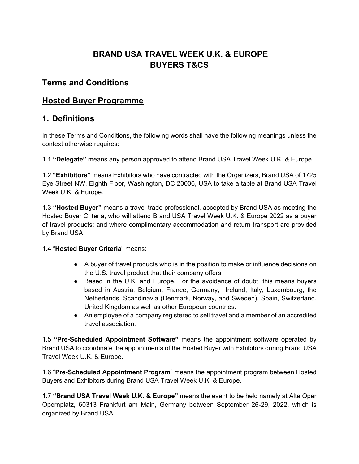# **BRAND USA TRAVEL WEEK U.K. & EUROPE BUYERS T&CS**

#### **Terms and Conditions**

#### **Hosted Buyer Programme**

#### **1. Definitions**

In these Terms and Conditions, the following words shall have the following meanings unless the context otherwise requires:

1.1 **"Delegate"** means any person approved to attend Brand USA Travel Week U.K. & Europe.

1.2 **"Exhibitors"** means Exhibitors who have contracted with the Organizers, Brand USA of 1725 Eye Street NW, Eighth Floor, Washington, DC 20006, USA to take a table at Brand USA Travel Week U.K. & Europe.

1.3 **"Hosted Buyer"** means a travel trade professional, accepted by Brand USA as meeting the Hosted Buyer Criteria, who will attend Brand USA Travel Week U.K. & Europe 2022 as a buyer of travel products; and where complimentary accommodation and return transport are provided by Brand USA.

#### 1.4 "**Hosted Buyer Criteria**" means:

- A buyer of travel products who is in the position to make or influence decisions on the U.S. travel product that their company offers
- Based in the U.K. and Europe. For the avoidance of doubt, this means buyers based in Austria, Belgium, France, Germany, Ireland, Italy, Luxembourg, the Netherlands, Scandinavia (Denmark, Norway, and Sweden), Spain, Switzerland, United Kingdom as well as other European countries.
- An employee of a company registered to sell travel and a member of an accredited travel association.

1.5 **"Pre-Scheduled Appointment Software"** means the appointment software operated by Brand USA to coordinate the appointments of the Hosted Buyer with Exhibitors during Brand USA Travel Week U.K. & Europe.

1.6 "**Pre-Scheduled Appointment Program**" means the appointment program between Hosted Buyers and Exhibitors during Brand USA Travel Week U.K. & Europe.

1.7 **"Brand USA Travel Week U.K. & Europe"** means the event to be held namely at Alte Oper Opernplatz, 60313 Frankfurt am Main, Germany between September 26-29, 2022, which is organized by Brand USA.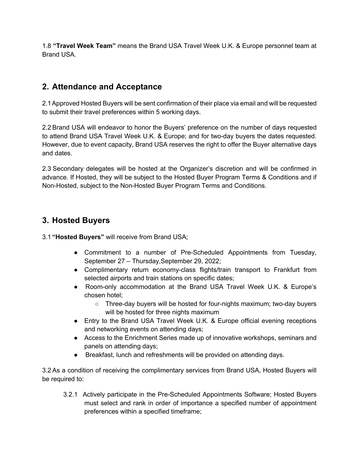1.8 **"Travel Week Team"** means the Brand USA Travel Week U.K. & Europe personnel team at Brand USA.

# **2. Attendance and Acceptance**

2.1Approved Hosted Buyers will be sent confirmation of their place via email and will be requested to submit their travel preferences within 5 working days.

2.2 Brand USA will endeavor to honor the Buyers' preference on the number of days requested to attend Brand USA Travel Week U.K. & Europe; and for two-day buyers the dates requested. However, due to event capacity, Brand USA reserves the right to offer the Buyer alternative days and dates.

2.3 Secondary delegates will be hosted at the Organizer's discretion and will be confirmed in advance. If Hosted, they will be subject to the Hosted Buyer Program Terms & Conditions and if Non-Hosted, subject to the Non-Hosted Buyer Program Terms and Conditions.

### **3. Hosted Buyers**

3.1 **"Hosted Buyers"** will receive from Brand USA;

- Commitment to a number of Pre-Scheduled Appointments from Tuesday, September 27 – Thursday,September 29, 2022;
- Complimentary return economy-class flights/train transport to Frankfurt from selected airports and train stations on specific dates;
- Room-only accommodation at the Brand USA Travel Week U.K. & Europe's chosen hotel;
	- Three-day buyers will be hosted for four-nights maximum; two-day buyers will be hosted for three nights maximum
- Entry to the Brand USA Travel Week U.K. & Europe official evening receptions and networking events on attending days;
- Access to the Enrichment Series made up of innovative workshops, seminars and panels on attending days;
- Breakfast, lunch and refreshments will be provided on attending days.

3.2 As a condition of receiving the complimentary services from Brand USA, Hosted Buyers will be required to:

3.2.1 Actively participate in the Pre-Scheduled Appointments Software; Hosted Buyers must select and rank in order of importance a specified number of appointment preferences within a specified timeframe;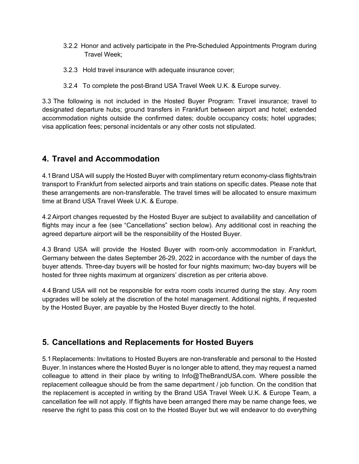- 3.2.2 Honor and actively participate in the Pre-Scheduled Appointments Program during Travel Week;
- 3.2.3 Hold travel insurance with adequate insurance cover;
- 3.2.4 To complete the post-Brand USA Travel Week U.K. & Europe survey.

3.3 The following is not included in the Hosted Buyer Program: Travel insurance; travel to designated departure hubs; ground transfers in Frankfurt between airport and hotel; extended accommodation nights outside the confirmed dates; double occupancy costs; hotel upgrades; visa application fees; personal incidentals or any other costs not stipulated.

# **4. Travel and Accommodation**

4.1Brand USA will supply the Hosted Buyer with complimentary return economy-class flights/train transport to Frankfurt from selected airports and train stations on specific dates. Please note that these arrangements are non-transferable. The travel times will be allocated to ensure maximum time at Brand USA Travel Week U.K. & Europe.

4.2Airport changes requested by the Hosted Buyer are subject to availability and cancellation of flights may incur a fee (see "Cancellations" section below). Any additional cost in reaching the agreed departure airport will be the responsibility of the Hosted Buyer.

4.3 Brand USA will provide the Hosted Buyer with room-only accommodation in Frankfurt, Germany between the dates September 26-29, 2022 in accordance with the number of days the buyer attends. Three-day buyers will be hosted for four nights maximum; two-day buyers will be hosted for three nights maximum at organizers' discretion as per criteria above.

4.4 Brand USA will not be responsible for extra room costs incurred during the stay. Any room upgrades will be solely at the discretion of the hotel management. Additional nights, if requested by the Hosted Buyer, are payable by the Hosted Buyer directly to the hotel.

### **5. Cancellations and Replacements for Hosted Buyers**

5.1 Replacements: Invitations to Hosted Buyers are non-transferable and personal to the Hosted Buyer. In instances where the Hosted Buyer is no longer able to attend, they may request a named colleague to attend in their place by writing to Info@TheBrandUSA.com. Where possible the replacement colleague should be from the same department / job function. On the condition that the replacement is accepted in writing by the Brand USA Travel Week U.K. & Europe Team, a cancellation fee will not apply. If flights have been arranged there may be name change fees, we reserve the right to pass this cost on to the Hosted Buyer but we will endeavor to do everything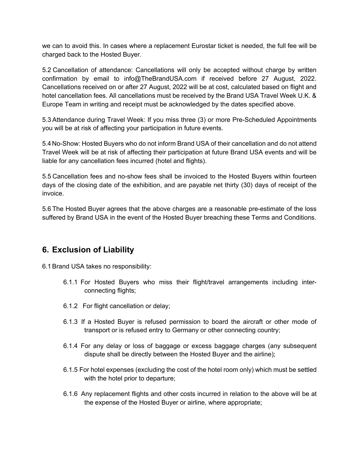we can to avoid this. In cases where a replacement Eurostar ticket is needed, the full fee will be charged back to the Hosted Buyer.

5.2 Cancellation of attendance: Cancellations will only be accepted without charge by written confirmation by email to info@TheBrandUSA.com if received before 27 August, 2022. Cancellations received on or after 27 August, 2022 will be at cost, calculated based on flight and hotel cancellation fees. All cancellations must be received by the Brand USA Travel Week U.K. & Europe Team in writing and receipt must be acknowledged by the dates specified above.

5.3 Attendance during Travel Week: If you miss three (3) or more Pre-Scheduled Appointments you will be at risk of affecting your participation in future events.

5.4No-Show: Hosted Buyers who do not inform Brand USA of their cancellation and do not attend Travel Week will be at risk of affecting their participation at future Brand USA events and will be liable for any cancellation fees incurred (hotel and flights).

5.5 Cancellation fees and no-show fees shall be invoiced to the Hosted Buyers within fourteen days of the closing date of the exhibition, and are payable net thirty (30) days of receipt of the invoice.

5.6 The Hosted Buyer agrees that the above charges are a reasonable pre-estimate of the loss suffered by Brand USA in the event of the Hosted Buyer breaching these Terms and Conditions.

### **6. Exclusion of Liability**

6.1Brand USA takes no responsibility:

- 6.1.1 For Hosted Buyers who miss their flight/travel arrangements including interconnecting flights;
- 6.1.2 For flight cancellation or delay;
- 6.1.3 If a Hosted Buyer is refused permission to board the aircraft or other mode of transport or is refused entry to Germany or other connecting country;
- 6.1.4 For any delay or loss of baggage or excess baggage charges (any subsequent dispute shall be directly between the Hosted Buyer and the airline);
- 6.1.5 For hotel expenses (excluding the cost of the hotel room only) which must be settled with the hotel prior to departure;
- 6.1.6 Any replacement flights and other costs incurred in relation to the above will be at the expense of the Hosted Buyer or airline, where appropriate;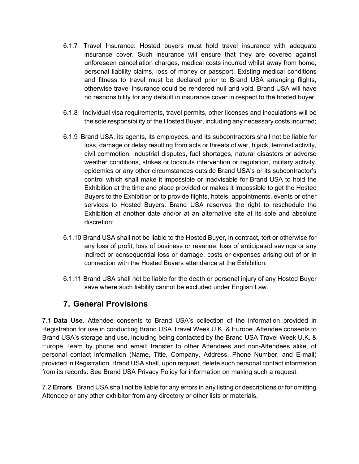- 6.1.7 Travel Insurance: Hosted buyers must hold travel insurance with adequate insurance cover. Such insurance will ensure that they are covered against unforeseen cancellation charges, medical costs incurred whilst away from home, personal liability claims, loss of money or passport. Existing medical conditions and fitness to travel must be declared prior to Brand USA arranging flights, otherwise travel insurance could be rendered null and void. Brand USA will have no responsibility for any default in insurance cover in respect to the hosted buyer.
- 6.1.8 Individual visa requirements, travel permits, other licenses and inoculations will be the sole responsibility of the Hosted Buyer, including any necessary costs incurred;
- 6.1.9 Brand USA, its agents, its employees, and its subcontractors shall not be liable for loss, damage or delay resulting from acts or threats of war, hijack, terrorist activity, civil commotion, industrial disputes, fuel shortages, natural disasters or adverse weather conditions, strikes or lockouts intervention or regulation, military activity, epidemics or any other circumstances outside Brand USA's or its subcontractor's control which shall make it impossible or inadvisable for Brand USA to hold the Exhibition at the time and place provided or makes it impossible to get the Hosted Buyers to the Exhibition or to provide flights, hotels, appointments, events or other services to Hosted Buyers. Brand USA reserves the right to reschedule the Exhibition at another date and/or at an alternative site at its sole and absolute discretion;
- 6.1.10 Brand USA shall not be liable to the Hosted Buyer, in contract, tort or otherwise for any loss of profit, loss of business or revenue, loss of anticipated savings or any indirect or consequential loss or damage, costs or expenses arising out of or in connection with the Hosted Buyers attendance at the Exhibition;
- 6.1.11 Brand USA shall not be liable for the death or personal injury of any Hosted Buyer save where such liability cannot be excluded under English Law.

### **7. General Provisions**

7.1 **Data Use**. Attendee consents to Brand USA's collection of the information provided in Registration for use in conducting Brand USA Travel Week U.K. & Europe. Attendee consents to Brand USA's storage and use, including being contacted by the Brand USA Travel Week U.K. & Europe Team by phone and email; transfer to other Attendees and non-Attendees alike, of personal contact information (Name, Title, Company, Address, Phone Number, and E-mail) provided in Registration. Brand USA shall, upon request, delete such personal contact information from its records. See Brand USA Privacy Policy for information on making such a request.

7.2 **Errors**. Brand USA shall not be liable for any errors in any listing or descriptions or for omitting Attendee or any other exhibitor from any directory or other lists or materials.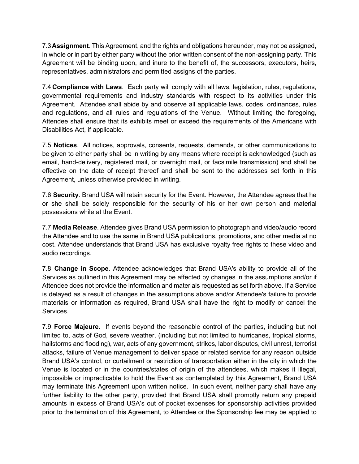7.3**Assignment**. This Agreement, and the rights and obligations hereunder, may not be assigned, in whole or in part by either party without the prior written consent of the non-assigning party. This Agreement will be binding upon, and inure to the benefit of, the successors, executors, heirs, representatives, administrators and permitted assigns of the parties.

7.4 **Compliance with Laws**. Each party will comply with all laws, legislation, rules, regulations, governmental requirements and industry standards with respect to its activities under this Agreement. Attendee shall abide by and observe all applicable laws, codes, ordinances, rules and regulations, and all rules and regulations of the Venue. Without limiting the foregoing, Attendee shall ensure that its exhibits meet or exceed the requirements of the Americans with Disabilities Act, if applicable.

7.5 **Notices**. All notices, approvals, consents, requests, demands, or other communications to be given to either party shall be in writing by any means where receipt is acknowledged (such as email, hand-delivery, registered mail, or overnight mail, or facsimile transmission) and shall be effective on the date of receipt thereof and shall be sent to the addresses set forth in this Agreement, unless otherwise provided in writing.

7.6 **Security**. Brand USA will retain security for the Event. However, the Attendee agrees that he or she shall be solely responsible for the security of his or her own person and material possessions while at the Event.

7.7 **Media Release**. Attendee gives Brand USA permission to photograph and video/audio record the Attendee and to use the same in Brand USA publications, promotions, and other media at no cost. Attendee understands that Brand USA has exclusive royalty free rights to these video and audio recordings.

7.8 **Change in Scope**. Attendee acknowledges that Brand USA's ability to provide all of the Services as outlined in this Agreement may be affected by changes in the assumptions and/or if Attendee does not provide the information and materials requested as set forth above. If a Service is delayed as a result of changes in the assumptions above and/or Attendee's failure to provide materials or information as required, Brand USA shall have the right to modify or cancel the **Services** 

7.9 **Force Majeure**. If events beyond the reasonable control of the parties, including but not limited to, acts of God, severe weather, (including but not limited to hurricanes, tropical storms, hailstorms and flooding), war, acts of any government, strikes, labor disputes, civil unrest, terrorist attacks, failure of Venue management to deliver space or related service for any reason outside Brand USA's control, or curtailment or restriction of transportation either in the city in which the Venue is located or in the countries/states of origin of the attendees, which makes it illegal, impossible or impracticable to hold the Event as contemplated by this Agreement, Brand USA may terminate this Agreement upon written notice. In such event, neither party shall have any further liability to the other party, provided that Brand USA shall promptly return any prepaid amounts in excess of Brand USA's out of pocket expenses for sponsorship activities provided prior to the termination of this Agreement, to Attendee or the Sponsorship fee may be applied to